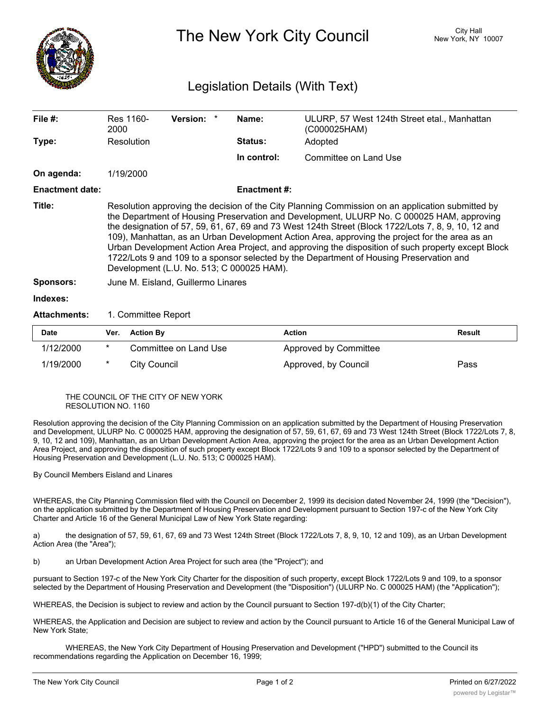

The New York City Council New York, NY 10007

## Legislation Details (With Text)

| File $#$ :             | Res 1160-<br>2000                                                                                                                                                                                                                                                                                                                                                                                                                                                                                                                                                                                                                                    | <b>Version:</b> |  | Name:               | ULURP, 57 West 124th Street etal., Manhattan<br>(C000025HAM) |               |  |  |
|------------------------|------------------------------------------------------------------------------------------------------------------------------------------------------------------------------------------------------------------------------------------------------------------------------------------------------------------------------------------------------------------------------------------------------------------------------------------------------------------------------------------------------------------------------------------------------------------------------------------------------------------------------------------------------|-----------------|--|---------------------|--------------------------------------------------------------|---------------|--|--|
| Type:                  | Resolution                                                                                                                                                                                                                                                                                                                                                                                                                                                                                                                                                                                                                                           |                 |  | Status:             | Adopted                                                      |               |  |  |
|                        |                                                                                                                                                                                                                                                                                                                                                                                                                                                                                                                                                                                                                                                      |                 |  | In control:         | Committee on Land Use                                        |               |  |  |
| On agenda:             | 1/19/2000                                                                                                                                                                                                                                                                                                                                                                                                                                                                                                                                                                                                                                            |                 |  |                     |                                                              |               |  |  |
| <b>Enactment date:</b> |                                                                                                                                                                                                                                                                                                                                                                                                                                                                                                                                                                                                                                                      |                 |  | <b>Enactment #:</b> |                                                              |               |  |  |
| Title:                 | Resolution approving the decision of the City Planning Commission on an application submitted by<br>the Department of Housing Preservation and Development, ULURP No. C 000025 HAM, approving<br>the designation of 57, 59, 61, 67, 69 and 73 West 124th Street (Block 1722/Lots 7, 8, 9, 10, 12 and<br>109), Manhattan, as an Urban Development Action Area, approving the project for the area as an<br>Urban Development Action Area Project, and approving the disposition of such property except Block<br>1722/Lots 9 and 109 to a sponsor selected by the Department of Housing Preservation and<br>Development (L.U. No. 513; C 000025 HAM). |                 |  |                     |                                                              |               |  |  |
| <b>Sponsors:</b>       | June M. Eisland, Guillermo Linares                                                                                                                                                                                                                                                                                                                                                                                                                                                                                                                                                                                                                   |                 |  |                     |                                                              |               |  |  |
| Indexes:               |                                                                                                                                                                                                                                                                                                                                                                                                                                                                                                                                                                                                                                                      |                 |  |                     |                                                              |               |  |  |
| <b>Attachments:</b>    | 1. Committee Report                                                                                                                                                                                                                                                                                                                                                                                                                                                                                                                                                                                                                                  |                 |  |                     |                                                              |               |  |  |
| <b>Date</b>            | <b>Vor</b><br>Action Ry                                                                                                                                                                                                                                                                                                                                                                                                                                                                                                                                                                                                                              |                 |  |                     | Action                                                       | <b>Docult</b> |  |  |

| <b>Date</b> | Ver. | <b>Action By</b>      | <b>Action</b>         | Result |
|-------------|------|-----------------------|-----------------------|--------|
| 1/12/2000   |      | Committee on Land Use | Approved by Committee |        |
| 1/19/2000   |      | City Council          | Approved, by Council  | Pass   |

THE COUNCIL OF THE CITY OF NEW YORK RESOLUTION NO. 1160

Resolution approving the decision of the City Planning Commission on an application submitted by the Department of Housing Preservation and Development, ULURP No. C 000025 HAM, approving the designation of 57, 59, 61, 67, 69 and 73 West 124th Street (Block 1722/Lots 7, 8, 9, 10, 12 and 109), Manhattan, as an Urban Development Action Area, approving the project for the area as an Urban Development Action Area Project, and approving the disposition of such property except Block 1722/Lots 9 and 109 to a sponsor selected by the Department of Housing Preservation and Development (L.U. No. 513; C 000025 HAM).

By Council Members Eisland and Linares

WHEREAS, the City Planning Commission filed with the Council on December 2, 1999 its decision dated November 24, 1999 (the "Decision"), on the application submitted by the Department of Housing Preservation and Development pursuant to Section 197-c of the New York City Charter and Article 16 of the General Municipal Law of New York State regarding:

a) the designation of 57, 59, 61, 67, 69 and 73 West 124th Street (Block 1722/Lots 7, 8, 9, 10, 12 and 109), as an Urban Development Action Area (the "Area");

b) an Urban Development Action Area Project for such area (the "Project"); and

pursuant to Section 197-c of the New York City Charter for the disposition of such property, except Block 1722/Lots 9 and 109, to a sponsor selected by the Department of Housing Preservation and Development (the "Disposition") (ULURP No. C 000025 HAM) (the "Application");

WHEREAS, the Decision is subject to review and action by the Council pursuant to Section 197-d(b)(1) of the City Charter;

WHEREAS, the Application and Decision are subject to review and action by the Council pursuant to Article 16 of the General Municipal Law of New York State;

WHEREAS, the New York City Department of Housing Preservation and Development ("HPD") submitted to the Council its recommendations regarding the Application on December 16, 1999;